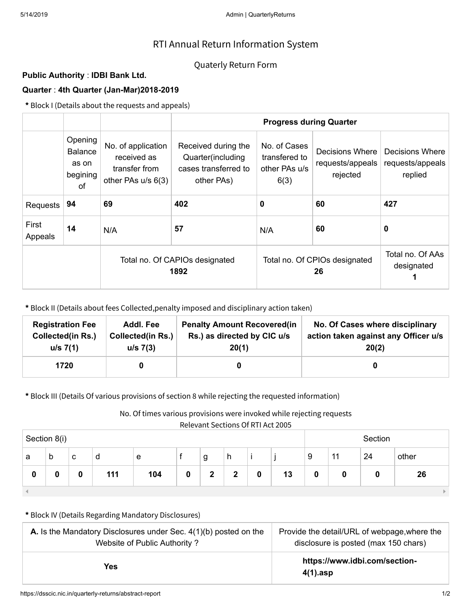# RTI Annual Return Information System

## Quaterly Return Form

### **Public Authority** : **IDBI Bank Ltd.**

### **Quarter** : **4th Quarter (Jan-Mar)2018-2019**

**\*** Block I (Details about the requests and appeals)

|                  |                                                      |                                                                          | <b>Progress during Quarter</b>                                                 |                                                        |                                                 |                                                       |  |
|------------------|------------------------------------------------------|--------------------------------------------------------------------------|--------------------------------------------------------------------------------|--------------------------------------------------------|-------------------------------------------------|-------------------------------------------------------|--|
|                  | Opening<br><b>Balance</b><br>as on<br>begining<br>0f | No. of application<br>received as<br>transfer from<br>other PAs u/s 6(3) | Received during the<br>Quarter(including<br>cases transferred to<br>other PAs) | No. of Cases<br>transfered to<br>other PAs u/s<br>6(3) | Decisions Where<br>requests/appeals<br>rejected | <b>Decisions Where</b><br>requests/appeals<br>replied |  |
| Requests         | 94                                                   | 69                                                                       | 402                                                                            | 60<br>0                                                |                                                 | 427                                                   |  |
| First<br>Appeals | 14                                                   | N/A                                                                      | 57                                                                             | N/A                                                    | 60                                              | 0                                                     |  |
|                  |                                                      | Total no. Of CAPIOs designated<br>1892                                   |                                                                                | Total no. Of CPIOs designated                          | Total no. Of AAs<br>designated                  |                                                       |  |

**\*** Block II (Details about fees Collected,penalty imposed and disciplinary action taken)

| <b>Registration Fee</b> | Addl. Fee                | <b>Penalty Amount Recovered (in</b> | No. Of Cases where disciplinary      |
|-------------------------|--------------------------|-------------------------------------|--------------------------------------|
| Collected(in Rs.)       | <b>Collected(in Rs.)</b> | Rs.) as directed by CIC u/s         | action taken against any Officer u/s |
| u/s 7(1)                | u/s 7(3)                 | 20(1)                               | 20(2)                                |
| 1720                    |                          |                                     |                                      |

**\*** Block III (Details Of various provisions of section 8 while rejecting the requested information)

No. Of times various provisions were invoked while rejecting requests

Relevant Sections Of RTI Act 2005

| Relevant Sections Of RTTACL2005<br>Section 8(i) |   |   |     |     |   |              |              | Section |    |   |    |    |       |
|-------------------------------------------------|---|---|-----|-----|---|--------------|--------------|---------|----|---|----|----|-------|
| a                                               | b | C | d   | e   |   | g            | h            |         |    | 9 | 11 | 24 | other |
| 0                                               | 0 | 0 | 111 | 104 | 0 | $\mathbf{2}$ | $\mathbf{2}$ | 0       | 13 | 0 |    |    | 26    |
|                                                 |   |   |     |     |   |              |              |         |    |   |    |    |       |

#### **\*** Block IV (Details Regarding Mandatory Disclosures)

| <b>A.</b> Is the Mandatory Disclosures under Sec. $4(1)(b)$ posted on the | Provide the detail/URL of webpage, where the |  |  |  |
|---------------------------------------------------------------------------|----------------------------------------------|--|--|--|
| Website of Public Authority?                                              | disclosure is posted (max 150 chars)         |  |  |  |
| Yes.                                                                      | https://www.idbi.com/section-<br>$4(1)$ .asp |  |  |  |